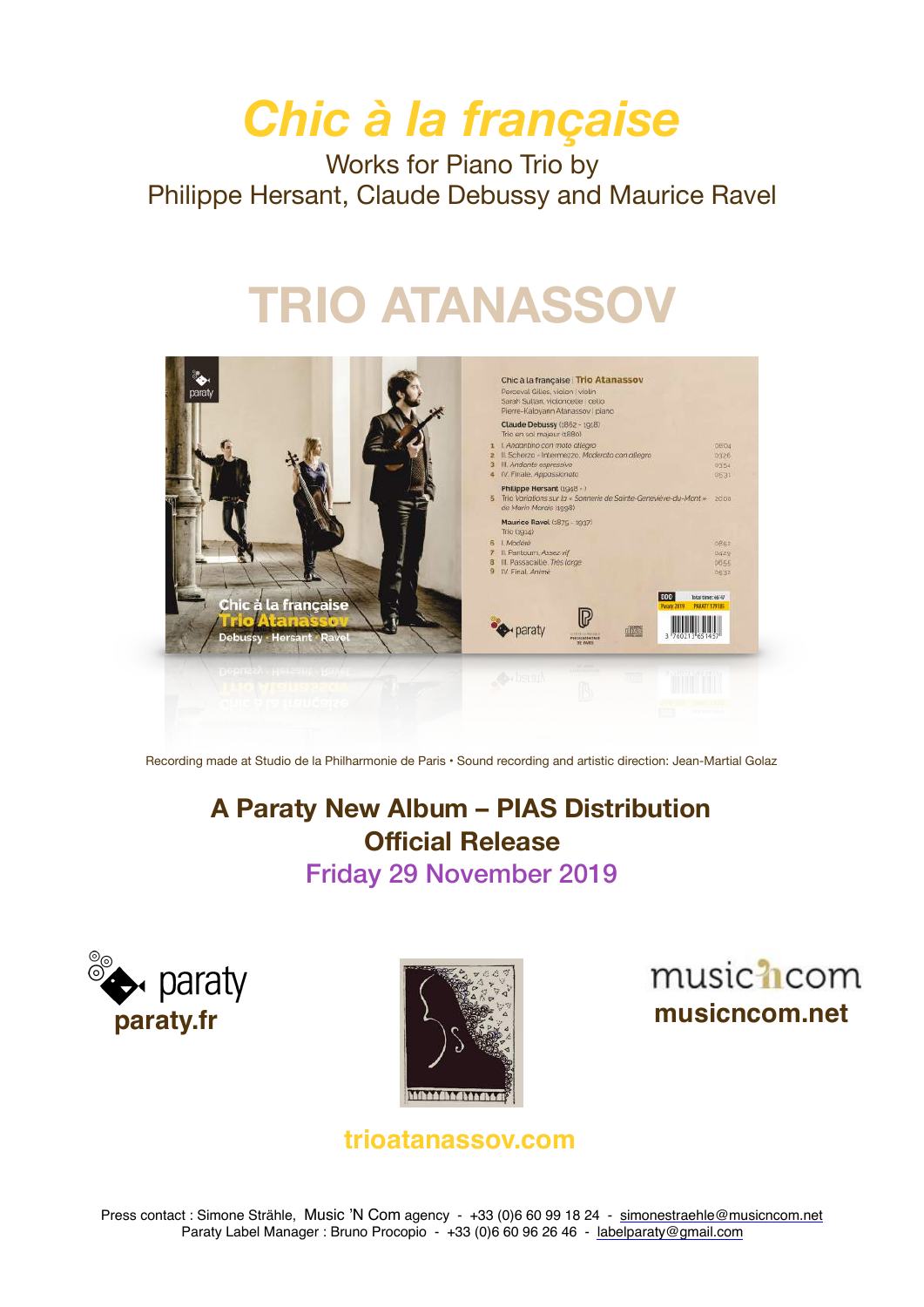# *Chic à la française*

Works for Piano Trio by Philippe Hersant, Claude Debussy and Maurice Ravel

# **TRIO ATANASSOV**



Recording made at Studio de la Philharmonie de Paris • Sound recording and artistic direction: Jean-Martial Golaz

# **A Paraty New Album – PIAS Distribution Official Release**  Friday 29 November 2019







**[trioatanassov.com](http://www.trioatanassov.com)**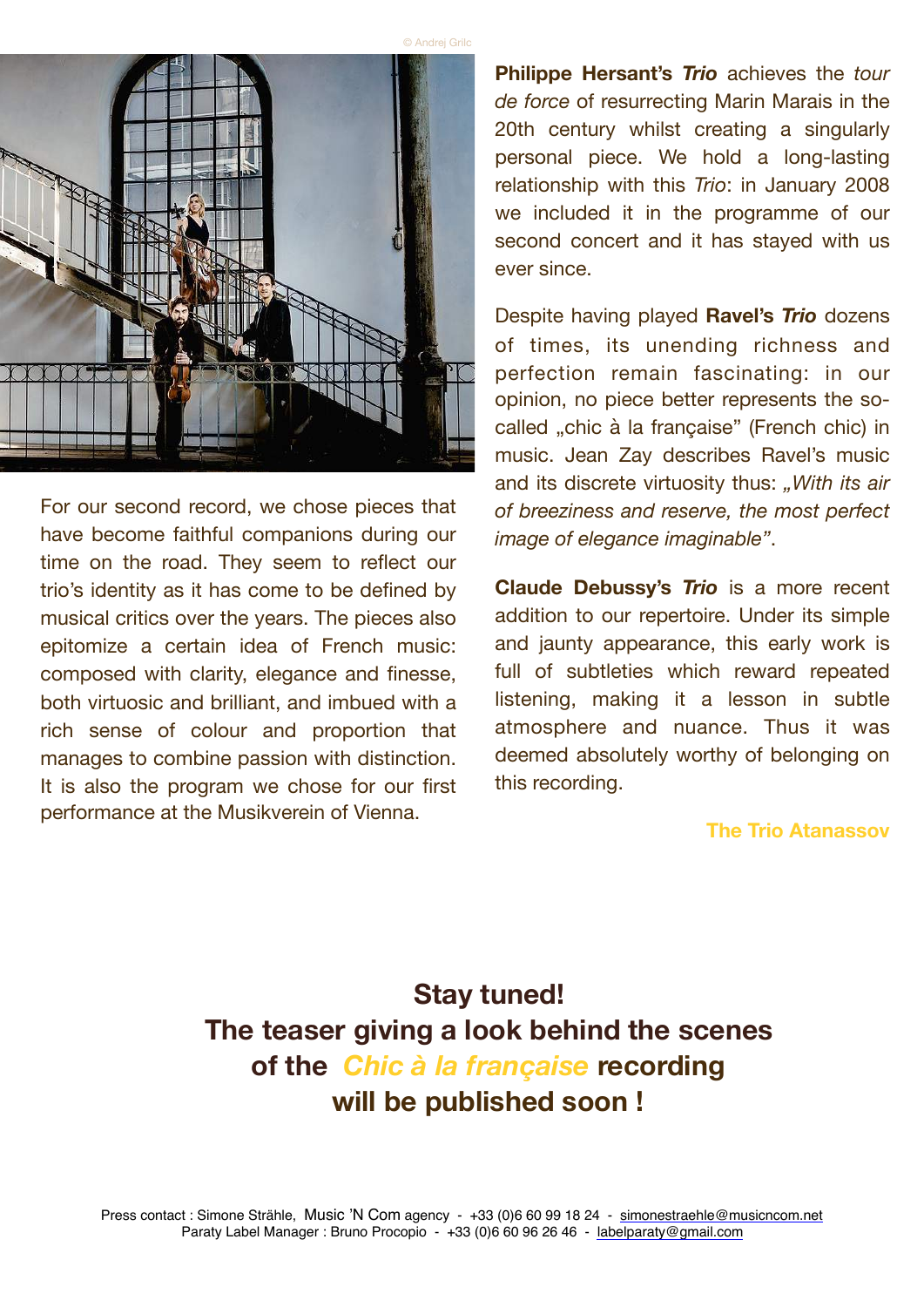



For our second record, we chose pieces that have become faithful companions during our time on the road. They seem to reflect our trio's identity as it has come to be defined by musical critics over the years. The pieces also epitomize a certain idea of French music: composed with clarity, elegance and finesse, both virtuosic and brilliant, and imbued with a rich sense of colour and proportion that manages to combine passion with distinction. It is also the program we chose for our first performance at the Musikverein of Vienna.

**Philippe Hersant's** *Trio* achieves the *tour de force* of resurrecting Marin Marais in the 20th century whilst creating a singularly personal piece. We hold a long-lasting relationship with this *Trio*: in January 2008 we included it in the programme of our second concert and it has stayed with us ever since.

Despite having played **Ravel's** *Trio* dozens of times, its unending richness and perfection remain fascinating: in our opinion, no piece better represents the socalled "chic à la française" (French chic) in music. Jean Zay describes Ravel's music and its discrete virtuosity thus: *"With its air of breeziness and reserve, the most perfect image of elegance imaginable"*.

**Claude Debussy's** *Trio* is a more recent addition to our repertoire. Under its simple and jaunty appearance, this early work is full of subtleties which reward repeated listening, making it a lesson in subtle atmosphere and nuance. Thus it was deemed absolutely worthy of belonging on this recording.

#### **The Trio Atanassov**

# **Stay tuned! The teaser giving a look behind the scenes of the** *Chic à la française* **recording will be published soon !**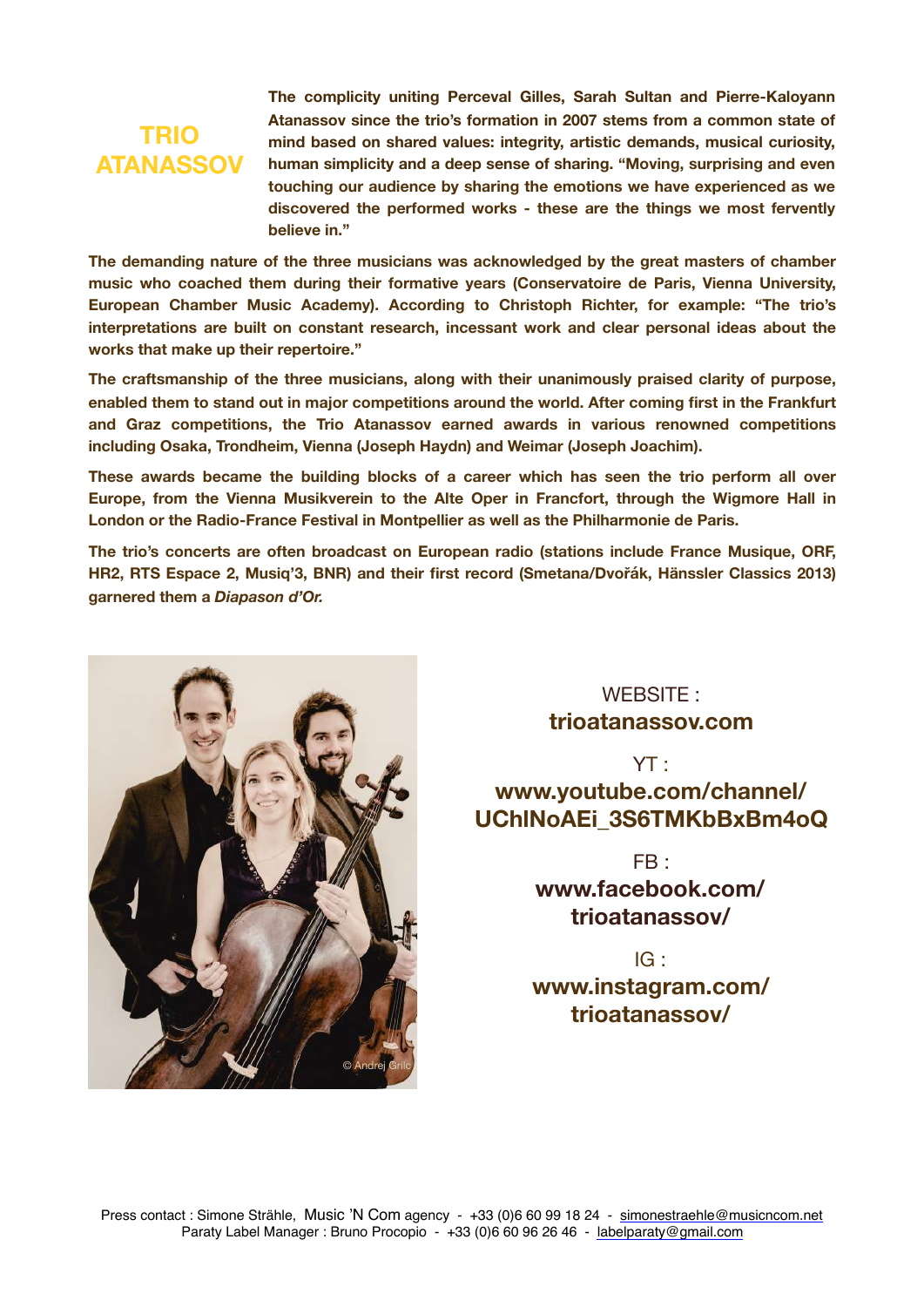### **TRIO ATANASSOV**

**The complicity uniting Perceval Gilles, Sarah Sultan and Pierre-Kaloyann Atanassov since the trio's formation in 2007 stems from a common state of mind based on shared values: integrity, artistic demands, musical curiosity, human simplicity and a deep sense of sharing. "Moving, surprising and even touching our audience by sharing the emotions we have experienced as we discovered the performed works - these are the things we most fervently believe in."** 

**The demanding nature of the three musicians was acknowledged by the great masters of chamber music who coached them during their formative years (Conservatoire de Paris, Vienna University, European Chamber Music Academy). According to Christoph Richter, for example: "The trio's interpretations are built on constant research, incessant work and clear personal ideas about the works that make up their repertoire."** 

**The craftsmanship of the three musicians, along with their unanimously praised clarity of purpose, enabled them to stand out in major competitions around the world. After coming first in the Frankfurt and Graz competitions, the Trio Atanassov earned awards in various renowned competitions including Osaka, Trondheim, Vienna (Joseph Haydn) and Weimar (Joseph Joachim).** 

**These awards became the building blocks of a career which has seen the trio perform all over Europe, from the Vienna Musikverein to the Alte Oper in Francfort, through the Wigmore Hall in London or the Radio-France Festival in Montpellier as well as the Philharmonie de Paris.**

**The trio's concerts are often broadcast on European radio (stations include France Musique, ORF, HR2, RTS Espace 2, Musiq'3, BNR) and their first record (Smetana/Dvořák, Hänssler Classics 2013) garnered them a** *Diapason d'Or.*



#### WFRSITF · **[trioatanassov.com](http://www.trioatanassov.com)**

#### YT : **[www.youtube.com/channel/](https://www.youtube.com/channel/UChlNoAEi_3S6TMKbBxBm4oQ) [UChlNoAEi\\_3S6TMKbBxBm4oQ](https://www.youtube.com/channel/UChlNoAEi_3S6TMKbBxBm4oQ)**

 $FR<sub>1</sub>$ **www.facebook.com/ trioatanassov/**

IG : **[www.instagram.com/](https://www.instagram.com/trioatanassov/) [trioatanassov/](https://www.instagram.com/trioatanassov/)**